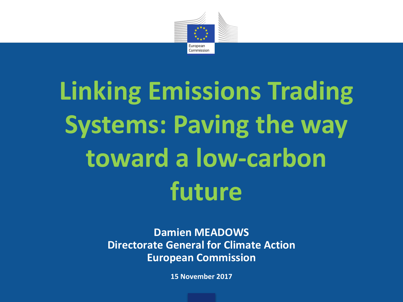

# **Linking Emissions Trading Systems: Paving the way** toward a low-carbon **future**

#### **Damien MEADOWS Directorate General for Climate Action European Commission**

**15 November 2017**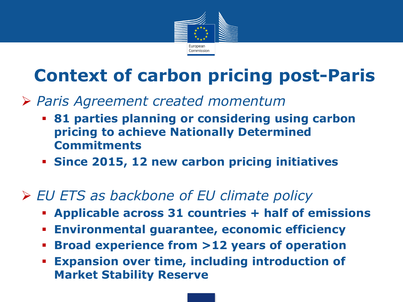

### **Context of carbon pricing post-Paris**

- Ø *Paris Agreement created momentum*
	- § **81 parties planning or considering using carbon pricing to achieve Nationally Determined Commitments**
	- § **Since 2015, 12 new carbon pricing initiatives**

#### Ø *EU ETS as backbone of EU climate policy*

- § **Applicable across 31 countries + half of emissions**
- § **Environmental guarantee, economic efficiency**
- § **Broad experience from >12 years of operation**
- **Expansion over time, including introduction of Market Stability Reserve**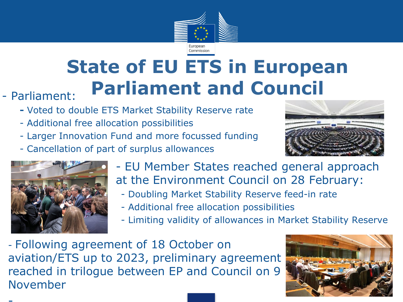

## **State of EU ETS in European Parliament: Parliament and Council**

- - **-** Voted to double ETS Market Stability Reserve rate
	- - Additional free allocation possibilities
	- - Larger Innovation Fund and more focussed funding
	- - Cancellation of part of surplus allowances





- EU Member States reached general approach at the Environment Council on 28 February:
	- Doubling Market Stability Reserve feed-in rate
	- Additional free allocation possibilities
	- Limiting validity of allowances in Market Stability Reserve
- Following agreement of 18 October on aviation/ETS up to 2023, preliminary agreement reached in trilogue between EP and Council on 9 November

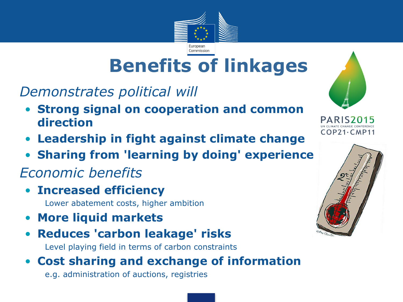

### **Benefits of linkages**

• *Demonstrates political will*

- **Strong signal on cooperation and common direction**
- **Leadership in fight against climate change**
- **Sharing from 'learning by doing' experience**

#### • *Economic benefits*

- **Increased efficiency** 
	- Lower abatement costs, higher ambition
- **More liquid markets**
- **Reduces 'carbon leakage' risks**

Level playing field in terms of carbon constraints

#### • **Cost sharing and exchange of information**

e.g. administration of auctions, registries



 $COP21$ ·  $CMP11$ 

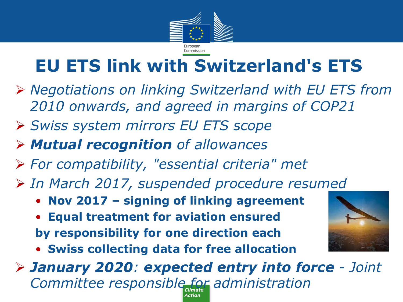

### **EU ETS link with Switzerland's ETS**

- Ø *Negotiations on linking Switzerland with EU ETS from 2010 onwards, and agreed in margins of COP21*
- Ø *Swiss system mirrors EU ETS scope*
- Ø *Mutual recognition of allowances*
- Ø *For compatibility, "essential criteria" met*
- Ø *In March 2017, suspended procedure resumed*
	- **Nov 2017 – signing of linking agreement**
	- **Equal treatment for aviation ensured by responsibility for one direction each**
	- **Swiss collecting data for free allocation**